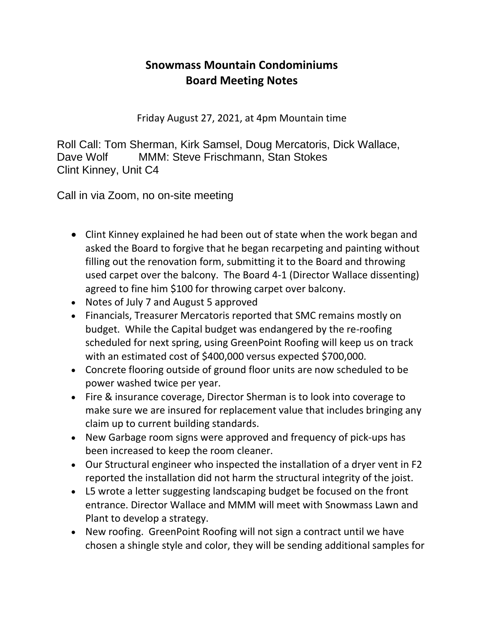## **Snowmass Mountain Condominiums Board Meeting Notes**

Friday August 27, 2021, at 4pm Mountain time

Roll Call: Tom Sherman, Kirk Samsel, Doug Mercatoris, Dick Wallace, Dave Wolf MMM: Steve Frischmann, Stan Stokes Clint Kinney, Unit C4

Call in via Zoom, no on-site meeting

- Clint Kinney explained he had been out of state when the work began and asked the Board to forgive that he began recarpeting and painting without filling out the renovation form, submitting it to the Board and throwing used carpet over the balcony. The Board 4-1 (Director Wallace dissenting) agreed to fine him \$100 for throwing carpet over balcony.
- Notes of July 7 and August 5 approved
- Financials, Treasurer Mercatoris reported that SMC remains mostly on budget. While the Capital budget was endangered by the re-roofing scheduled for next spring, using GreenPoint Roofing will keep us on track with an estimated cost of \$400,000 versus expected \$700,000.
- Concrete flooring outside of ground floor units are now scheduled to be power washed twice per year.
- Fire & insurance coverage, Director Sherman is to look into coverage to make sure we are insured for replacement value that includes bringing any claim up to current building standards.
- New Garbage room signs were approved and frequency of pick-ups has been increased to keep the room cleaner.
- Our Structural engineer who inspected the installation of a dryer vent in F2 reported the installation did not harm the structural integrity of the joist.
- L5 wrote a letter suggesting landscaping budget be focused on the front entrance. Director Wallace and MMM will meet with Snowmass Lawn and Plant to develop a strategy.
- New roofing. GreenPoint Roofing will not sign a contract until we have chosen a shingle style and color, they will be sending additional samples for